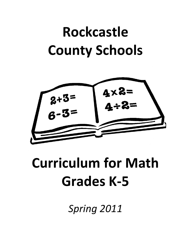# **Rockcastle County Schools**



# **Curriculum for Math Grades K-5**

*Spring 2011*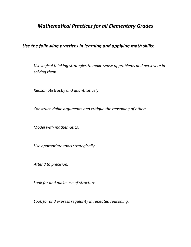# *Mathematical Practices for all Elementary Grades*

*Use the following practices in learning and applying math skills:*

*Use logical thinking strategies to make sense of problems and persevere in solving them.*

*Reason abstractly and quantitatively.*

*Construct viable arguments and critique the reasoning of others.*

*Model with mathematics.* 

*Use appropriate tools strategically.*

*Attend to precision.*

*Look for and make use of structure.*

*Look for and express regularity in repeated reasoning.*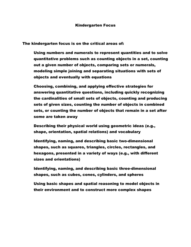#### Kindergarten Focus

The kindergarten focus is on the critical areas of:

Using numbers and numerals to represent quantities and to solve quantitative problems such as counting objects in a set, counting out a given number of objects, comparing sets or numerals, modeling simple joining and separating situations with sets of objects and eventually with equations

Choosing, combining, and applying effective strategies for answering quantitative questions, including quickly recognizing the cardinalities of small sets of objects, counting and producing sets of given sizes, counting the number of objects in combined sets, or counting the number of objects that remain in a set after some are taken away

Describing their physical world using geometric ideas (e.g., shape, orientation, spatial relations) and vocabulary

Identifying, naming, and describing basic two-dimensional shapes, such as squares, triangles, circles, rectangles, and hexagons, presented in a variety of ways (e.g., with different sizes and orientations)

Identifying, naming, and describing basic three-dimensional shapes, such as cubes, cones, cylinders, and spheres

Using basic shapes and spatial reasoning to model objects in their environment and to construct more complex shapes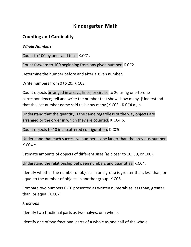# **Kindergarten Math**

# **Counting and Cardinality**

## *Whole Numbers*

Count to 100 by ones and tens. K.CC1.

Count forward to 100 beginning from any given number. K.CC2.

Determine the number before and after a given number.

Write numbers from 0 to 20, K.CC3.

Count objects arranged in arrays, lines, or circles to 20 using one-to-one correspondence; tell and write the number that shows how many. (Understand that the last number name said tells how many.)K.CC3., K.CC4.a., b.

Understand that the quantity is the same regardless of the way objects are arranged or the order in which they are counted. K.CC4.b.

Count objects to 10 in a scattered configuration. K.CC5.

Understand that each successive number is one larger than the previous number. K.CC4.c.

Estimate amounts of objects of different sizes (as closer to 10, 50, or 100).

Understand the relationship between numbers and quantities. K.CC4.

Identify whether the number of objects in one group is greater than, less than, or equal to the number of objects in another group. K.CC6.

Compare two numbers 0-10 presented as written numerals as less than, greater than, or equal. K.CC7.

# *Fractions*

Identify two fractional parts as two halves, or a whole.

Identify one of two fractional parts of a whole as one half of the whole.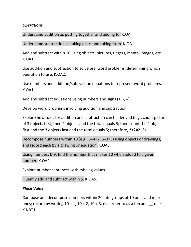## *Operations*

Understand addition as putting together and adding to. K.OA

Understand subtraction as taking apart and taking from. K.OA

Add and subtract within 10 using objects, pictures, fingers, mental images, etc. K.OA1.

Use addition and subtraction to solve oral word problems, determining which operation to use. K.OA2.

Use numbers and addition/subtraction equations to represent word problems. K.OA1.

Add and subtract equations using numbers and signs  $(+, -, =)$ .

Develop word problems involving addition and subtraction.

Explore how rules for addition and subtraction can be derived (e.g., count pictures of 3 objects first, then 2 objects and the total equals 5; then count the 2 objects first and the 3 objects last and the total equals 5; therefore, 3+2=2+3).

Decompose numbers within 10 (e.g., 6=4+2, 6=3+3) using objects or drawings, and record each by a drawing or equation. K.OA3.

Using numbers 0-9, find the number that makes 10 when added to a given number. K.OA4.

Explore number sentences with missing values.

Fluently add and subtract within 5. K.OA5.

#### *Place Value*

Compose and decompose numbers within 20 into groups of 10 ones and more ones; record by writing  $10 + 1$ ,  $10 + 2$ ,  $10 + 3$ , etc.; refer to as a ten and ones. K.NBT1.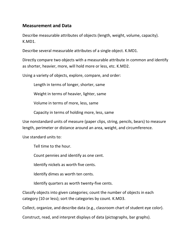# **Measurement and Data**

Describe measurable attributes of objects (length, weight, volume, capacity). K.MD1.

Describe several measurable attributes of a single object. K.MD1.

Directly compare two objects with a measurable attribute in common and identify as shorter, heavier, more, will hold more or less, etc. K.MD2.

Using a variety of objects, explore, compare, and order:

Length in terms of longer, shorter, same

Weight in terms of heavier, lighter, same

Volume in terms of more, less, same

Capacity in terms of holding more, less, same

Use nonstandard units of measure (paper clips, string, pencils, bears) to measure length, perimeter or distance around an area, weight, and circumference.

Use standard units to:

Tell time to the hour.

Count pennies and identify as one cent.

Identify nickels as worth five cents.

Identify dimes as worth ten cents.

Identify quarters as worth twenty-five cents.

Classify objects into given categories; count the number of objects in each category (10 or less); sort the categories by count. K.MD3.

Collect, organize, and describe data (e.g., classroom chart of student eye color).

Construct, read, and interpret displays of data (pictographs, bar graphs).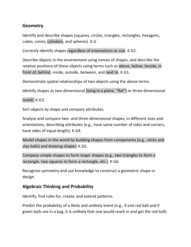# **Geometry**

Identify and describe shapes (squares, circles, triangles, rectangles, hexagons, cubes, cones, cylinders, and spheres). K.G

Correctly identify shapes regardless of orientations or size. K.G2.

Describe objects in the environment using names of shapes, and describe the relative positions of these objects using terms such as above, below, beside, in front of, behind, inside, outside, between, and next to. K.G1.

Demonstrate spatial relationships of two objects using the above terms.

Identify shapes as two-dimensional (lying in a plane, "flat") or three-dimensional

(solid). K.G3.

Sort objects by shape and compare attributes.

Analyze and compare two- and three-dimensional shapes, in different sizes and orientations, describing attributes (e.g., have same number of sides and corners, have sides of equal length). K.G4.

Model shapes in the world by building shapes from components (e.g., sticks and clay balls) and drawing shapes. K.G5.

Compose simple shapes to form larger shapes (e.g., two triangles to form a rectangle, two squares to form a rectangle, etc.). K.G6.

Recognize symmetry and use knowledge to construct a geometric shape or design.

# **Algebraic Thinking and Probability**

Identify, find rules for, create, and extend patterns.

Predict the probability of a likely and unlikely event (e.g., if one red ball and 9 green balls are in a bag, it is unlikely that one would reach in and get the red ball).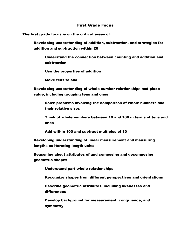#### First Grade Focus

The first grade focus is on the critical areas of:

Developing understanding of addition, subtraction, and strategies for addition and subtraction within 20

Understand the connection between counting and addition and subtraction

Use the properties of addition

Make tens to add

Developing understanding of whole number relationships and place value, including grouping tens and ones

Solve problems involving the comparison of whole numbers and their relative sizes

Think of whole numbers between 10 and 100 in terms of tens and ones

Add within 100 and subtract multiples of 10

Developing understanding of linear measurement and measuring lengths as iterating length units

Reasoning about attributes of and composing and decomposing geometric shapes

Understand part-whole relationships

Recognize shapes from different perspectives and orientations

Describe geometric attributes, including likenesses and differences

Develop background for measurement, congruence, and symmetry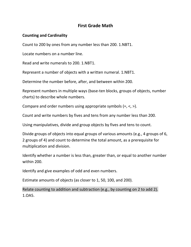# **First Grade Math**

## **Counting and Cardinality**

Count to 200 by ones from any number less than 200. 1.NBT1.

Locate numbers on a number line.

Read and write numerals to 200. 1.NBT1.

Represent a number of objects with a written numeral. 1.NBT1.

Determine the number before, after, and between within 200.

Represent numbers in multiple ways (base-ten blocks, groups of objects, number charts) to describe whole numbers.

Compare and order numbers using appropriate symbols (=, <, >).

Count and write numbers by fives and tens from any number less than 200.

Using manipulatives, divide and group objects by fives and tens to count.

Divide groups of objects into equal groups of various amounts (e.g., 4 groups of 6, 2 groups of 4) and count to determine the total amount, as a prerequisite for multiplication and division.

Identify whether a number is less than, greater than, or equal to another number within 200.

Identify and give examples of odd and even numbers.

Estimate amounts of objects (as closer to 1, 50, 100, and 200).

Relate counting to addition and subtraction (e.g., by counting on 2 to add 2). 1.OA5.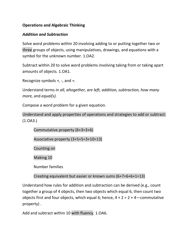# **Operations and Algebraic Thinking**

## *Addition and Subtraction*

Solve word problems within 20 involving adding to or putting together two or three groups of objects, using manipulatives, drawings, and equations with a symbol for the unknown number. 1.OA2.

Subtract within 20 to solve word problems involving taking from or taking apart amounts of objects. 1.OA1.

Recognize symbols *+, -*, and *=*.

Understand terms *in all, altogether, are left, addition, subtraction, how many more,* and *equal(s).*

Compose a word problem for a given equation.

Understand and apply properties of operations and strategies to add or subtract: (1.OA3.)

Commutative property (6+3=3+6) Associative property (3+5+5=3+10=13)

Counting on

Making 10

Number families

Creating equivalent but easier or known sums (6+7=6+6+1=13)

Understand how rules for addition and subtraction can be derived (e.g., count together a group of 4 objects, then two objects which equal 6, then count two objects first and four objects, which equal 6; hence,  $4 + 2 = 2 + 4$  -commutative property) .

Add and subtract within 10 with fluency. 1.OA6.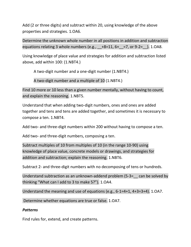Add (2 or three digits) and subtract within 20, using knowledge of the above properties and strategies. 1.OA6.

Determine the unknown whole number in all positions in addition and subtraction equations relating 3 whole numbers (e.g.,  $+8=11$ ,  $6+=7$ , or  $9-2=$  ). 1.OA8.

Using knowledge of place value and strategies for addition and subtraction listed above, add within 100: (1.NBT4.)

A two-digit number and a one-digit number (1.NBT4.)

A two-digit number and a multiple of 10 (1.NBT4.)

Find 10 more or 10 less than a given number mentally, without having to count, and explain the reasoning. 1.NBT5.

Understand that when adding two-digit numbers, ones and ones are added together and tens and tens are added together, and sometimes it is necessary to compose a ten. 1.NBT4.

Add two- and three-digit numbers within 200 without having to compose a ten.

Add two- and three-digit numbers, composing a ten.

Subtract multiples of 10 from multiples of 10 (in the range 10-90) using knowledge of place value, concrete models or drawings, and strategies for addition and subtraction; explain the reasoning. 1.NBT6.

Subtract 2- and three-digit numbers with no decomposing of tens or hundreds.

Understand subtraction as an unknown-addend problem  $(5-3=$  can be solved by thinking "What can I add to 3 to make 5?"). 1.OA4.

Understand the meaning and use of equations (e.g., 6-1=4+1, 4+3=3+4). 1.OA7.

Determine whether equations are true or false. 1.OA7.

# *Patterns*

Find rules for, extend, and create patterns.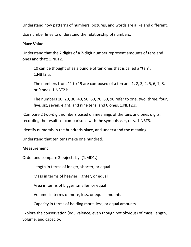Understand how patterns of numbers, pictures, and words are alike and different.

Use number lines to understand the relationship of numbers.

# **Place Value**

Understand that the 2 digits of a 2-digit number represent amounts of tens and ones and that: 1.NBT2.

10 can be thought of as a bundle of ten ones that is called a "ten". 1.NBT2.a.

The numbers from 11 to 19 are composed of a ten and 1, 2, 3, 4, 5, 6, 7, 8, or 9 ones. 1.NBT2.b.

The numbers 10, 20, 30, 40, 50, 60, 70, 80, 90 refer to one, two, three, four, five, six, seven, eight, and nine tens, and 0 ones. 1.NBT2.c.

Compare 2 two-digit numbers based on meanings of the tens and ones digits, recording the results of comparisons with the symbols >, +, or <. 1.NBT3.

Identify numerals in the hundreds place, and understand the meaning.

Understand that ten tens make one hundred.

# **Measurement**

Order and compare 3 objects by: (1.MD1.)

Length in terms of longer, shorter, or equal

Mass in terms of heavier, lighter, or equal

Area in terms of bigger, smaller, or equal

Volume in terms of more, less, or equal amounts

Capacity in terms of holding more, less, or equal amounts

Explore the conservation (equivalence, even though not obvious) of mass, length, volume, and capacity.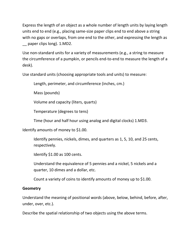Express the length of an object as a whole number of length units by laying length units end to end (e.g., placing same-size paper clips end to end above a string with no gaps or overlaps, from one end to the other, and expressing the length as \_\_ paper clips long). 1.MD2.

Use non-standard units for a variety of measurements (e.g., a string to measure the circumference of a pumpkin, or pencils end-to-end to measure the length of a desk).

Use standard units (choosing appropriate tools and units) to measure:

Length, perimeter, and circumference (inches, cm.)

Mass (pounds)

Volume and capacity (liters, quarts)

Temperature (degrees to tens)

Time (hour and half hour using analog and digital clocks) 1.MD3.

Identify amounts of money to \$1.00.

Identify pennies, nickels, dimes, and quarters as 1, 5, 10, and 25 cents, respectively.

Identify \$1.00 as 100 cents.

Understand the equivalence of 5 pennies and a nickel, 5 nickels and a quarter, 10 dimes and a dollar, etc.

Count a variety of coins to identify amounts of money up to \$1.00.

# **Geometry**

Understand the meaning of positional words (above, below, behind, before, after, under, over, etc.).

Describe the spatial relationship of two objects using the above terms.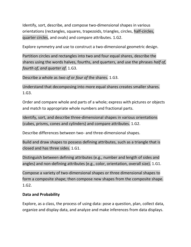Identify, sort, describe, and compose two-dimensional shapes in various orientations (rectangles, squares, trapezoids, triangles, circles, half-circles, quarter circles, and ovals) and compare attributes. 1.G2.

Explore symmetry and use to construct a two-dimensional geometric design.

Partition circles and rectangles into two and four equal shares, describe the shares using the words halves, fourths, and quarters, and use the phrases *half of, fourth of, and quarter of.* 1.G3.

Describe a whole as *two of* or *four of* the shares. 1.G3.

Understand that decomposing into more equal shares creates smaller shares. 1.G3.

Order and compare whole and parts of a whole; express with pictures or objects and match to appropriate whole numbers and fractional parts.

Identify, sort, and describe three-dimensional shapes in various orientations (cubes, prisms, cones and cylinders) and compare attributes. 1.G2.

Describe differences between two- and three-dimensional shapes.

Build and draw shapes to possess defining attributes, such as a triangle that is closed and has three sides. 1.G1.

Distinguish between defining attributes (e.g., number and length of sides and angles) and non-defining attributes (e.g., color, orientation, overall size). 1.G1.

Compose a variety of two-dimensional shapes or three dimensional shapes to form a composite shape; then compose new shapes from the composite shape. 1.G2.

# **Data and Probability**

Explore, as a class, the process of using data: pose a question, plan, collect data, organize and display data, and analyze and make inferences from data displays.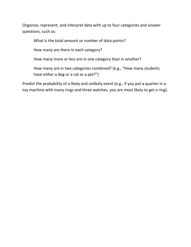Organize, represent, and interpret data with up to four categories and answer questions, such as:

What is the total amount or number of data points?

How many are there in each category?

How many more or less are in one category than in another?

How many are in two categories combined? (e.g., "How many students have either a dog or a cat as a pet?")

Predict the probability of a likely and unlikely event (e.g., if you put a quarter in a toy machine with many rings and three watches, you are most likely to get a ring).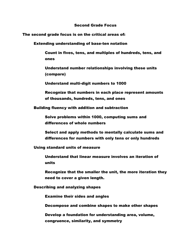#### Second Grade Focus

The second grade focus is on the critical areas of:

Extending understanding of base-ten notation

Count in fives, tens, and multiples of hundreds, tens, and ones

Understand number relationships involving these units (compare)

Understand multi-digit numbers to 1000

Recognize that numbers in each place represent amounts of thousands, hundreds, tens, and ones

Building fluency with addition and subtraction

Solve problems within 1000, computing sums and differences of whole numbers

Select and apply methods to mentally calculate sums and differences for numbers with only tens or only hundreds

Using standard units of measure

Understand that linear measure involves an iteration of units

Recognize that the smaller the unit, the more iteration they need to cover a given length.

Describing and analyzing shapes

Examine their sides and angles

Decompose and combine shapes to make other shapes

Develop a foundation for understanding area, volume, congruence, similarity, and symmetry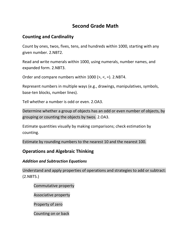# **Second Grade Math**

# **Counting and Cardinality**

Count by ones, twos, fives, tens, and hundreds within 1000, starting with any given number. 2.NBT2.

Read and write numerals within 1000, using numerals, number names, and expanded form. 2.NBT3.

Order and compare numbers within 1000 (>, <, =). 2.NBT4.

Represent numbers in multiple ways (e.g., drawings, manipulatives, symbols, base-ten blocks, number lines).

Tell whether a number is odd or even. 2.OA3.

Determine whether a group of objects has an odd or even number of objects, by grouping or counting the objects by twos. 2.OA3.

Estimate quantities visually by making comparisons; check estimation by counting.

Estimate by rounding numbers to the nearest 10 and the nearest 100.

# **Operations and Algebraic Thinking**

# *Addition and Subtraction Equations*

Understand and apply properties of operations and strategies to add or subtract: (2.NBT5.)

Commutative property

Associative property

Property of zero

Counting on or back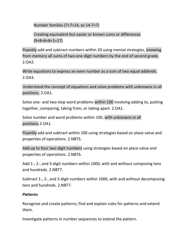Number families (7+7=14, so 14-7=7)

Creating equivalent but easier or known sums or differences (9+8=8+8=1=17)

Fluently add and subtract numbers within 20 using mental strategies, knowing from memory all sums of two one-digit numbers by the end of second grade. 2.OA2.

Write equations to express an even number as a sum of two equal addends. 2.OA3.

Understand the concept of equations and solve problems with unknowns in all positions. 2.OA1.

Solve one- and two-step word problems within 100 involving adding to, putting together, comparing, taking from, or taking apart. 2.OA1.

Solve number and word problems within 100, with unknowns in all positions.2.OA1.

Fluently add and subtract within 100 using strategies based on place value and properties of operations. 2.NBT5.

Add up to four two-digit numbers using strategies based on place value and properties of operations. 2.NBT6.

Add 1-, 2-, and 3-digit numbers within 1000, with and without composing tens and hundreds. 2.NBT7.

Subtract 1-, 2-, and 3-digit numbers within 1000, with and without decomposing tens and hundreds. 2.NBT7.

# *Patterns*

Recognize and create patterns; find and explain rules for patterns and extend them.

Investigate patterns in number sequences to extend the pattern.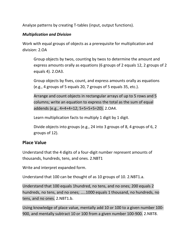Analyze patterns by creating T-tables (input, output functions).

# *Multiplication and Division*

Work with equal groups of objects as a prerequisite for multiplication and division: 2.OA

Group objects by twos, counting by twos to determine the amount and express amounts orally as equations (6 groups of 2 equals 12, 2 groups of 2 equals 4). 2.OA3.

Group objects by fives, count, and express amounts orally as equations (e.g., 4 groups of 5 equals 20, 7 groups of 5 equals 35, etc.).

Arrange and count objects in rectangular arrays of up to 5 rows and 5 columns; write an equation to express the total as the sum of equal addends (e.g., 4+4+4=12; 5+5+5+5=20). 2.OA4.

Learn multiplication facts to multiply 1 digit by 1 digit.

Divide objects into groups (e.g., 24 into 3 groups of 8, 4 groups of 6, 2 groups of 12).

# **Place Value**

Understand that the 4 digits of a four-digit number represent amounts of thousands, hundreds, tens, and ones. 2.NBT1

Write and interpret expanded form.

Understand that 100 can be thought of as 10 groups of 10. 2.NBT1.a.

Understand that 100 equals 1hundred, no tens, and no ones; 200 equals 2 hundreds, no tens, and no ones; …..1000 equals 1 thousand, no hundreds, no tens, and no ones. 2.NBT1.b.

Using knowledge of place value, mentally add 10 or 100 to a given number 100- 900, and mentally subtract 10 or 100 from a given number 100-900. 2.NBT8.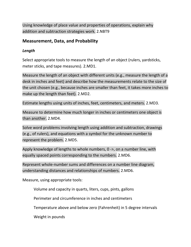Using knowledge of place value and properties of operations, explain why addition and subtraction strategies work. 2.NBT9

# **Measurement, Data, and Probability**

# *Length*

Select appropriate tools to measure the length of an object (rulers, yardsticks, meter sticks, and tape measures). 2.MD1.

Measure the length of an object with different units (e.g., measure the length of a desk in inches and feet) and describe how the measurements relate to the size of the unit chosen (e.g., because inches are smaller than feet, it takes more inches to make up the length than feet). 2.MD2.

Estimate lengths using units of inches, feet, centimeters, and meters. 2.MD3.

Measure to determine how much longer in inches or centimeters one object is than another. 2.MD4.

Solve word problems involving length using addition and subtraction, drawings (e.g., of rulers), and equations with a symbol for the unknown number to represent the problem. 2.MD5.

Apply knowledge of lengths to whole numbers, 0 ->, on a number line, with equally spaced points corresponding to the numbers. 2.MD6.

Represent whole-number sums and differences on a number line diagram, understanding distances and relationships of numbers. 2.MD6.

Measure, using appropriate tools:

Volume and capacity in quarts, liters, cups, pints, gallons

Perimeter and circumference in inches and centimeters

Temperature above and below zero (Fahrenheit) in 5 degree intervals

Weight in pounds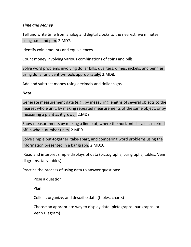## *Time and Money*

Tell and write time from analog and digital clocks to the nearest five minutes, using a.m. and p.m. 2.MD7.

Identify coin amounts and equivalences.

Count money involving various combinations of coins and bills.

Solve word problems involving dollar bills, quarters, dimes, nickels, and pennies, using dollar and cent symbols appropriately. 2.MD8.

Add and subtract money using decimals and dollar signs.

#### *Data*

Generate measurement data (e.g., by measuring lengths of several objects to the nearest whole unit, by making repeated measurements of the same object, or by measuring a plant as it grows). 2.MD9.

Show measurements by making a line plot, where the horizontal scale is marked off in whole-number units. 2.MD9.

Solve simple put-together, take-apart, and comparing word problems using the information presented in a bar graph. 2.MD10.

Read and interpret simple displays of data (pictographs, bar graphs, tables, Venn diagrams, tally tables).

Practice the process of using data to answer questions:

Pose a question

Plan

Collect, organize, and describe data (tables, charts)

Choose an appropriate way to display data (pictographs, bar graphs, or Venn Diagram)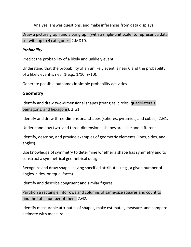Analyze, answer questions, and make inferences from data displays

Draw a picture graph and a bar graph (with a single-unit scale) to represent a data set with up to 4 categories. 2.MD10.

## *Probability*

Predict the probability of a likely and unlikely event.

Understand that the probability of an unlikely event is near 0 and the probability of a likely event is near 1(e.g., 1/10, 9/10).

Generate possible outcomes in simple probability activities.

# **Geometry**

Identify and draw two-dimensional shapes (triangles, circles, quadrilaterals, pentagons, and hexagons). 2.G1.

Identify and draw three-dimensional shapes (spheres, pyramids, and cubes). 2.G1.

Understand how two- and three-dimensional shapes are alike and different.

Identify, describe, and provide examples of geometric elements (lines, sides, and angles).

Use knowledge of symmetry to determine whether a shape has symmetry and to construct a symmetrical geometrical design.

Recognize and draw shapes having specified attributes (e.g., a given number of angles, sides, or equal faces).

Identify and describe congruent and similar figures.

Partition a rectangle into rows and columns of same-size squares and count to find the total number of them. 2.G2.

Identify measurable attributes of shapes, make estimates, measure, and compare estimate with measure.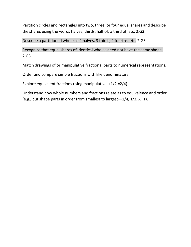Partition circles and rectangles into two, three, or four equal shares and describe the shares using the words halves, thirds, half of, a third of, etc. 2.G3.

Describe a partitioned whole as 2 halves, 3 thirds, 4 fourths, etc. 2.G3.

Recognize that equal shares of identical wholes need not have the same shape. 2.G3.

Match drawings of or manipulative fractional parts to numerical representations.

Order and compare simple fractions with like denominators.

Explore equivalent fractions using manipulatives (1/2 =2/4).

Understand how whole numbers and fractions relate as to equivalence and order (e.g., put shape parts in order from smallest to largest—1/4, 1/3, ½, 1).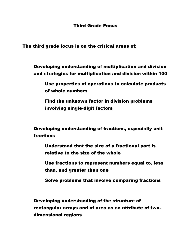The third grade focus is on the critical areas of:

Developing understanding of multiplication and division and strategies for multiplication and division within 100

Use properties of operations to calculate products of whole numbers

Find the unknown factor in division problems involving single-digit factors

Developing understanding of fractions, especially unit fractions

Understand that the size of a fractional part is relative to the size of the whole

Use fractions to represent numbers equal to, less than, and greater than one

Solve problems that involve comparing fractions

Developing understanding of the structure of rectangular arrays and of area as an attribute of twodimensional regions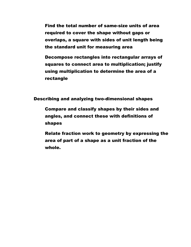Find the total number of same-size units of area required to cover the shape without gaps or overlaps, a square with sides of unit length being the standard unit for measuring area

Decompose rectangles into rectangular arrays of squares to connect area to multiplication; justify using multiplication to determine the area of a rectangle

Describing and analyzing two-dimensional shapes

Compare and classify shapes by their sides and angles, and connect these with definitions of shapes

Relate fraction work to geometry by expressing the area of part of a shape as a unit fraction of the whole.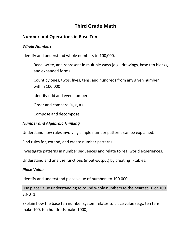# **Third Grade Math**

# **Number and Operations in Base Ten**

#### *Whole Numbers*

Identify and understand whole numbers to 100,000.

Read, write, and represent in multiple ways (e.g., drawings, base ten blocks, and expanded form)

Count by ones, twos, fives, tens, and hundreds from any given number within 100,000

Identify odd and even numbers

Order and compare  $(<, >, =)$ 

Compose and decompose

#### *Number and Algebraic Thinking*

Understand how rules involving simple number patterns can be explained.

Find rules for, extend, and create number patterns.

Investigate patterns in number sequences and relate to real world experiences.

Understand and analyze functions (input-output) by creating T-tables.

#### *Place Value*

Identify and understand place value of numbers to 100,000.

Use place value understanding to round whole numbers to the nearest 10 or 100. 3.NBT1.

Explain how the base ten number system relates to place value (e.g., ten tens make 100, ten hundreds make 1000)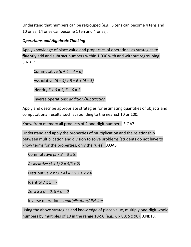Understand that numbers can be regrouped (e.g., 5 tens can become 4 tens and 10 ones; 14 ones can become 1 ten and 4 ones).

# *Operations and Algebraic Thinking*

Apply knowledge of place value and properties of operations as strategies to **fluently** add and subtract numbers within 1,000 with and without regrouping: 3.NBT2.

Commutative *(6 + 4 = 4 + 6)*  Associative *(6 + 4) + 5 = 6 + (4 + 5)* Identity *5 + 0 = 5; 5 – 0 = 5*

Inverse operations: *addition/subtraction*

Apply and describe appropriate strategies for estimating quantities of objects and computational results, such as rounding to the nearest 10 or 100.

Know from memory all products of 2 one-digit numbers. 3.OA7.

Understand and apply the properties of multiplication and the relationship between multiplication and division to solve problems (students do not have to know terms for the properties, only the rules): 3.OA5

Commutative *(5 x 3 = 3 x 5)*

*Associative (5 x 3) 2 = 5(3 x 2)*

Distributive *2 x (3 + 4) = 2 x 3 + 2 x 4*

Identity  $7 \times 1 = 7$ 

Zero *8 x 0 = 0; 8 ÷ 0 = 0*

Inverse operations: *multiplication/division*

Using the above strategies and knowledge of place value, multiply one-digit whole numbers by multiples of 10 in the range 10-90 (e.g., 6 x 80; 5 x 90). 3.NBT3.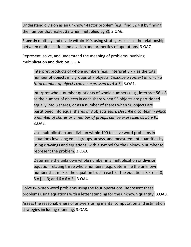Understand division as an unknown-factor problem (e.g., find  $32 \div 8$  by finding the number that makes 32 when multiplied by 8). 3.OA6.

**Fluently** multiply and divide within 100, using strategies such as the relationship between multiplication and division and properties of operations. 3.OA7.

Represent, solve, and understand the meaning of problems involving multiplication and division. 3.OA

Interpret products of whole numbers (e.g., interpret 5 x 7 as the total number of objects in 5 groups of 7 objects. *Describe a context in which a total number of objects can be expressed as 5 x 7*). 3.OA1.

Interpret whole-number quotients of whole numbers (e.g., interpret  $56 \div 8$ ) as the number of objects in each share when 56 objects are partitioned equally into 8 shares, or as a number of shares when 56 objects are partitioned into equal shares of 8 objects each. *Describe a context in which a number of shares or a number of groups can be expressed as 56 ÷ 8).* 3.OA2.

Use multiplication and division within 100 to solve word problems in situations involving equal groups, arrays, and measurement quantities by using drawings and equations, with a symbol for the unknown number to represent the problem. 3.OA3.

Determine the unknown whole number in a multiplication or division equation relating three whole numbers (e.g., determine the unknown number that makes the equation true in each of the equations  $8 \times ? = 48$ ;  $5 = [1 + 3;$  and  $6 \times 6 = ?$ ). 3.0A4.

Solve two-step word problems using the four operations. Represent these problems using equations with a letter standing for the unknown quantity. 3.OA8.

Assess the reasonableness of answers using mental computation and estimation strategies including rounding. 3.OA8.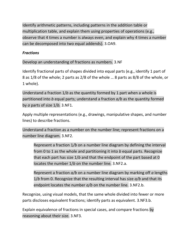Identify arithmetic patterns, including patterns in the addition table or multiplication table, and explain them using properties of operations (e.g., observe that 4 times a number is always even, and explain why 4 times a number can be decomposed into two equal addends). 3.OA9.

# *Fractions*

Develop an understanding of fractions as numbers. 3.NF

Identify fractional parts of shapes divided into equal parts (e.g., identify 1 part of 8 as 1/8 of the whole; 2 parts as 2/8 of the whole … 8 parts as 8/8 of the whole, or 1 whole).

Understand a fraction 1/*b* as the quantity formed by 1 part when a whole is partitioned into *b* equal parts; understand a fraction *a/b* as the quantity formed by *a* parts of size 1/*b.* 3.NF1.

Apply multiple representations (e.g., drawings, manipulative shapes, and number lines) to describe fractions.

Understand a fraction as a number on the number line; represent fractions on a number line diagram. 3.NF2.

Represent a fraction 1*/b* on a number line diagram by defining the interval from 0 to 1 as the whole and partitioning it into *b* equal parts. Recognize that each part has size 1/*b* and that the endpoint of the part based at 0 locates the number 1/*b* on the number line. 3.NF2.a.

Represent a fraction *a/b* on a number line diagram by marking off *a* lengths 1/*b* from 0. Recognize that the resulting interval has size *a/b* and that its endpoint locates the number *a/b* on the number line. 3.NF2.b.

Recognize, using visual models, that the same whole divided into fewer or more parts discloses equivalent fractions; identify parts as equivalent. 3.NF3.b.

Explain equivalence of fractions in special cases, and compare fractions by reasoning about their size. 3.NF3.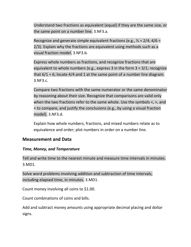Understand two fractions as equivalent (equal) if they are the same size, or the same point on a number line. 3.NF3.a.

Recognize and generate simple equivalent fractions (e.g.,  $\frac{1}{2}$  = 2/4; 4/6 = 2/3). Explain why the fractions are equivalent using methods such as a visual fraction model. 3.NF3.b.

Express whole numbers as fractions, and recognize fractions that are equivalent to whole numbers (e.g., express 3 in the form 3 = 3/1; recognize that  $6/1$  = 6; locate 4/4 and 1 at the same point of a number line diagram. 3.NF3.c.

Compare two fractions with the same numerator or the same denominator by reasoning about their size. Recognize that comparisons are valid only when the two fractions refer to the same whole. Use the symbols <, >, and = to compare, and justify the conclusions (e.g., by using a visual fraction model). 3.NF3.d.

Explain how whole numbers, fractions, and mixed numbers relate as to equivalence and order; plot numbers in order on a number line.

# **Measurement and Data**

# *Time, Money, and Temperature*

Tell and write time to the nearest minute and measure time intervals in minutes. 3.MD1.

Solve word problems involving addition and subtraction of time intervals, including elapsed time, in minutes. 3.MD1.

Count money involving all coins to \$1.00.

Count combinations of coins and bills.

Add and subtract money amounts using appropriate decimal placing and dollar signs.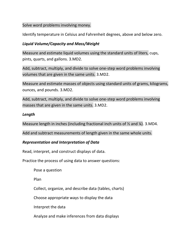#### Solve word problems involving money.

Identify temperature in Celsius and Fahrenheit degrees, above and below zero.

# *Liquid Volume/Capacity and Mass/Weight*

Measure and estimate liquid volumes using the standard units of liters, cups, pints, quarts, and gallons. 3.MD2.

Add, subtract, multiply, and divide to solve one-step word problems involving volumes that are given in the same units. 3.MD2.

Measure and estimate masses of objects using standard units of grams, kilograms, ounces, and pounds. 3.MD2.

Add, subtract, multiply, and divide to solve one-step word problems involving masses that are given in the same units. 3.MD2.

## *Length*

Measure length in inches (including fractional inch units of  $\frac{1}{2}$  and  $\frac{1}{4}$ ). 3.MD4.

Add and subtract measurements of length given in the same whole units.

# *Representation and Interpretation of Data*

Read, interpret, and construct displays of data.

Practice the process of using data to answer questions:

Pose a question

Plan

Collect, organize, and describe data (tables, charts)

Choose appropriate ways to display the data

Interpret the data

Analyze and make inferences from data displays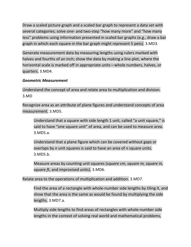Draw a scaled picture graph and a scaled bar graph to represent a data set with several categories; solve one- and two-step "how many more" and "how many less" problems using information presented in scaled bar graphs (e.g., draw a bar graph in which each square in the bar graph might represent 5 pets). 3.MD3.

Generate measurement data by measuring lengths using rulers marked with halves and fourths of an inch; show the data by making a line plot, where the horizontal scale is marked off in appropriate units—whole numbers, halves, or quarters. 3.MD4.

# *Geometric Measurement*

Understand the concept of area and relate area to multiplication and division. 3.MD

Recognize area as an attribute of plane figures and understand concepts of area measurement. 3.MD5.

Understand that a square with side length 1 unit, called "a unit square," is said to have "one square unit" of area, and can be used to measure area. 3.MD5.a.

Understand that a plane figure which can be covered without gaps or overlaps by *n* unit squares is said to have an area of *n* square units. 3.MD5.b.

Measure areas by counting unit squares (*square cm, square m, square in, square ft*, and improvised units). 3.MD6.

Relate area to the operations of multiplication and addition. 3.MD7.

Find the area of a rectangle with whole-number side lengths by tiling it, and show that the area is the same as would be found by multiplying the side lengths. 3.MD7.a.

Multiply side lengths to find areas of rectangles with whole-number side lengths in the context of solving real world and mathematical problems,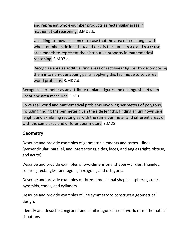and represent whole-number products as rectangular areas in mathematical reasoning. 3.MD7.b.

Use tiling to show in a concrete case that the area of a rectangle with whole-number side lengths *a* and *b + c* is the sum of *a x b* and *a x c*; use area models to represent the distributive property in mathematical reasoning. 3.MD7.c.

Recognize area as additive; find areas of rectilinear figures by decomposing them into non-overlapping parts, applying this technique to solve real world problems. 3.MD7.d.

Recognize perimeter as an attribute of plane figures and distinguish between linear and area measures. 3.MD

Solve real world and mathematical problems involving perimeters of polygons, including finding the perimeter given the side lengths, finding an unknown side length, and exhibiting rectangles with the same perimeter and different areas or with the same area and different perimeters. 3.MD8.

# **Geometry**

Describe and provide examples of geometric elements and terms—lines (perpendicular, parallel, and intersecting), sides, faces, and angles (right, obtuse, and acute).

Describe and provide examples of two-dimensional shapes—circles, triangles, squares, rectangles, pentagons, hexagons, and octagons.

Describe and provide examples of three-dimensional shapes—spheres, cubes, pyramids, cones, and cylinders.

Describe and provide examples of line symmetry to construct a geometrical design.

Identify and describe congruent and similar figures in real-world or mathematical situations.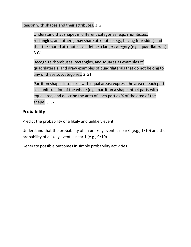Reason with shapes and their attributes. 3.G

Understand that shapes in different categories (e.g., rhombuses, rectangles, and others) may share attributes (e.g., having four sides) and that the shared attributes can define a larger category (e.g., quadrilaterals). 3.G1.

Recognize rhombuses, rectangles, and squares as examples of quadrilaterals, and draw examples of quadrilaterals that do not belong to any of these subcategories. 3.G1.

Partition shapes into parts with equal areas; express the area of each part as a unit fraction of the whole (e.g., partition a shape into 4 parts with equal area, and describe the area of each part as ¼ of the area of the shape. 3.G2.

# **Probability**

Predict the probability of a likely and unlikely event.

Understand that the probability of an unlikely event is near 0 (e.g., 1/10) and the probability of a likely event is near 1 (e.g., 9/10).

Generate possible outcomes in simple probability activities.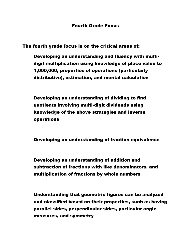The fourth grade focus is on the critical areas of:

Developing an understanding and fluency with multidigit multiplication using knowledge of place value to 1,000,000, properties of operations (particularly distributive), estimation, and mental calculation

Developing an understanding of dividing to find quotients involving multi-digit dividends using knowledge of the above strategies and inverse operations

Developing an understanding of fraction equivalence

Developing an understanding of addition and subtraction of fractions with like denominators, and multiplication of fractions by whole numbers

Understanding that geometric figures can be analyzed and classified based on their properties, such as having parallel sides, perpendicular sides, particular angle measures, and symmetry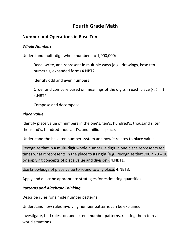# **Fourth Grade Math**

# **Number and Operations in Base Ten**

## *Whole Numbers*

Understand multi-digit whole numbers to 1,000,000:

Read, write, and represent in multiple ways (e.g., drawings, base ten numerals, expanded form) 4.NBT2.

Identify odd and even numbers

Order and compare based on meanings of the digits in each place  $\langle \langle , \rangle = \rangle$ 4.NBT2.

Compose and decompose

## *Place Value*

Identify place value of numbers in the one's, ten's, hundred's, thousand's, ten thousand's, hundred thousand's, and million's place.

Understand the base ten number system and how it relates to place value.

Recognize that in a multi-digit whole number, a digit in one place represents ten times what it represents in the place to its right (e.g., recognize that  $700 \div 70 = 10$ by applying concepts of place value and division). 4.NBT1.

Use knowledge of place value to round to any place. 4.NBT3.

Apply and describe appropriate strategies for estimating quantities.

# *Patterns and Algebraic Thinking*

Describe rules for simple number patterns.

Understand how rules involving number patterns can be explained.

Investigate, find rules for, and extend number patterns, relating them to real world situations.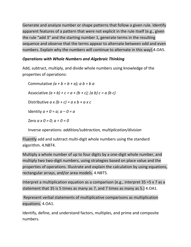Generate and analyze number or shape patterns that follow a given rule. Identify apparent features of a pattern that were not explicit in the rule itself (e.g., given the rule "add 3" and the starting number 1, generate terms in the resulting sequence and observe that the terms appear to alternate between odd and even numbers. Explain why the numbers will continue to alternate in this way).4.OA5.

# *Operations with Whole Numbers and Algebraic Thinking*

Add, subtract, multiply, and divide whole numbers using knowledge of the properties of operations:

Commutative *(a + b = b + a); a b = b a* Associative  $(a + b) + c = a + (b + c)$ ;  $(a b) c = a (b c)$ Distributive *a x (b + c) = a x b + a x c* Identity  $a + 0 = a$ ;  $a - 0 = a$ Zero *a x 0 = 0; a ÷ 0 = 0*

Inverse operations: *addition/subtraction, multiplication/division*

Fluently add and subtract multi-digit whole numbers using the standard algorithm. 4.NBT4.

Multiply a whole number of up to four digits by a one-digit whole number, and multiply two two-digit numbers, using strategies based on place value and the properties of operations. Illustrate and explain the calculation by using equations, rectangular arrays, and/or area models. 4.NBT5.

Interpret a multiplication equation as a comparison (e.g., interpret 35 =5 x 7 as a statement that 35 is 5 times as many as 7, and 7 times as many as 5.) 4.OA1.

Represent verbal statements of multiplicative comparisons as multiplication equations. 4.OA1.

Identify, define, and understand factors, multiples, and prime and composite numbers.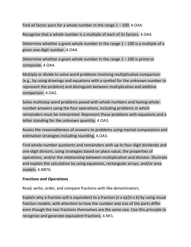Find all factor pairs for a whole number in the range  $1 - 100$ . 4.0A4.

Recognize that a whole number is a multiple of each of its factors. 4.OA4.

Determine whether a given whole number in the range  $1 - 100$  is a multiple of a given one-digit number. 4.OA4.

Determine whether a given whole number in the range  $1 - 100$  is prime or composite. 4.OA4.

Multiply or divide to solve word problems involving multiplicative comparison (e.g., by using drawings and equations with a symbol for the unknown number to represent the problem) and distinguish between multiplicative and additive comparison. 4.OA2.

Solve multistep word problems posed with whole numbers and having wholenumber answers using the four operations, including problems in which remainders must be interpreted. Represent these problems with equations and a letter standing for the unknown quantity. 4.OA3.

Assess the reasonableness of answers to problems using mental computation and estimation strategies including rounding. 4.OA3.

Find whole-number quotients and remainders with up to four-digit dividends and one-digit divisors, using strategies based on place value, the properties of operations, and/or the relationship between multiplication and division. Illustrate and explain the calculation by using equations, rectangular arrays, and/or area models. 4.NBT6.

#### *Fractions and Operations*

Read, write, order, and compare fractions with like denominators.

Explain why a fraction *a/b* is equivalent to a fraction (*n x a)/(n x b)* by using visual fraction models, with attention to how the number and size of the parts differ even though the two fractions themselves are the same size. Use this principle to recognize and generate equivalent fractions. 4.NF1.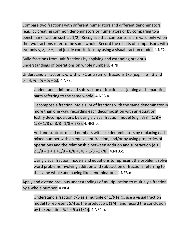Compare two fractions with different numerators and different denominators (e.g., by creating common denominators or numerators or by comparing to a benchmark fraction such as 1/2). Recognize that comparisons are valid only when the two fractions refer to the same whole. Record the results of comparisons with symbols  $\lt$ ,  $\gt$ , or  $\approx$ , and justify conclusions by using a visual fraction model. 4.NF2.

Build fractions from unit fractions by applying and extending previous understandings of operations on whole numbers. 4.NF

Understand a fraction *a/b* with *a* > 1 as a sum of fractions 1/*b* (e.g., if *a* = 3 and  $b = 4$ ,  $\frac{3}{4} = \frac{1}{4} + \frac{1}{4} + \frac{1}{4}$ . 4.NF3.

Understand addition and subtraction of fractions as joining and separating parts referring to the same whole. 4.NF3.a.

Decompose a fraction into a sum of fractions with the same denominator in more than one way, recording each decomposition with an equation. Justify decompositions by using a visual fraction model (e.g.,  $3/8 = 1/8 + 1$  $1/8$ +  $1/8$  or  $3/8$  = $1/8$  +  $2/8$ ). 4.NF3.b.

Add and subtract mixed numbers with like denominators by replacing each mixed number with an equivalent fraction, and/or by using properties of operations and the relationship between addition and subtraction (e.g.,  $2\frac{1}{8} = 1 + 1 + \frac{1}{8} = \frac{8}{8} + \frac{8}{8} = \frac{1}{8} = \frac{17}{8}$ . 4.NF3.c.

Using visual fraction models and equations to represent the problem, solve word problems involving addition and subtraction of fractions referring to the same whole and having like denominators. 4.NF3.d.

Apply and extend previous understandings of multiplication to multiply a fraction by a whole number. 4.NF4.

Understand a fraction *a/b* as a multiple of 1/*b* [e.g., use a visual fraction model to represent 5/4 as the product 5 x (1/4), and record the conclusion by the equation  $5/4 = 5 \times (1/4)$ ]. 4.NF4.a.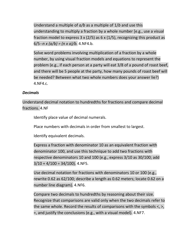Understand a multiple of *a/b* as a multiple of 1/*b* and use this understanding to multiply a fraction by a whole number [e.g., use a visual fraction model to express 3 x (2/5) as 6 x (1/5), recognizing this product as  $6/5$ --*n x (a/b) = (n x a)/b*. 4.NF4.b.

Solve word problems involving multiplication of a fraction by a whole number, by using visual fraction models and equations to represent the problem (e.g., if each person at a party will eat 3/8 of a pound of roast beef, and there will be 5 people at the party, how many pounds of roast beef will be needed? Between what two whole numbers does your answer lie?) 4.NF4.c.

## *Decimals*

Understand decimal notation to hundredths for fractions and compare decimal fractions. 4.NF

Identify place value of decimal numerals.

Place numbers with decimals in order from smallest to largest.

Identify equivalent decimals.

Express a fraction with denominator 10 as an equivalent fraction with denominator 100, and use this technique to add two fractions with respective denominators 10 and 100 (e.g., express 3/10 as 30/100; add  $3/10 + 4/100 = 34/100$ . 4.NF5.

Use decimal notation for fractions with denominators 10 or 100 (e.g., rewrite 0.62 as 62/100; describe a length as 0.62 meters; locate 0.62 on a number line diagram). 4.NF6.

Compare two decimals to hundredths by reasoning about their size. Recognize that comparisons are valid only when the two decimals refer to the same whole. Record the results of comparisons with the symbols <, >, =, and justify the conclusions (e.g., with a visual model). 4.NF7.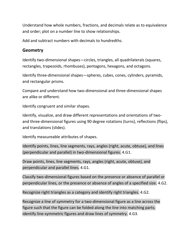Understand how whole numbers, fractions, and decimals relate as to equivalence and order; plot on a number line to show relationships.

Add and subtract numbers with decimals to hundredths.

# **Geometry**

Identify two-dimensional shapes—circles, triangles, all quadrilaterals (squares, rectangles, trapezoids, rhombuses), pentagons, hexagons, and octagons.

Identify three-dimensional shapes—spheres, cubes, cones, cylinders, pyramids, and rectangular prisms.

Compare and understand how two-dimensional and three-dimensional shapes are alike or different.

Identify congruent and similar shapes.

Identify, visualize, and draw different representations and orientations of twoand three-dimensional figures using 90 degree rotations (turns), reflections (flips), and translations (slides).

Identify measureable attributes of shapes.

Identify points, lines, line segments, rays, angles (right, acute, obtuse), and lines (perpendicular and parallel) in two-dimensional figures. 4.G1.

Draw points, lines, line segments, rays, angles (right, acute, obtuse), and perpendicular and parallel lines. 4.G1.

Classify two-dimensional figures based on the presence or absence of parallel or perpendicular lines, or the presence or absence of angles of a specified size. 4.G2.

Recognize right triangles as a category and identify right triangles. 4.G2.

Recognize a line of symmetry for a two-dimensional figure as a line across the figure such that the figure can be folded along the line into matching parts; identify line-symmetric figures and draw lines of symmetry. 4.G3.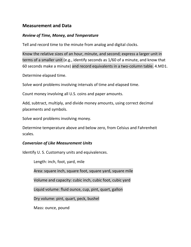# **Measurement and Data**

## *Review of Time, Money, and Temperature*

Tell and record time to the minute from analog and digital clocks.

Know the relative sizes of an hour, minute, and second; express a larger unit in terms of a smaller unit (e.g., identify seconds as 1/60 of a minute, and know that 60 seconds make a minute) and record equivalents in a two-column table. 4.MD1.

Determine elapsed time.

Solve word problems involving intervals of time and elapsed time.

Count money involving all U.S. coins and paper amounts.

Add, subtract, multiply, and divide money amounts, using correct decimal placements and symbols.

Solve word problems involving money.

Determine temperature above and below zero, from Celsius and Fahrenheit scales.

#### *Conversion of Like Measurement Units*

Identify U. S. Customary units and equivalences.

Length: inch, foot, yard, mile Area: square inch, square foot, square yard, square mile Volume and capacity: cubic inch, cubic foot, cubic yard Liquid volume: fluid ounce, cup, pint, quart, gallon Dry volume: pint, quart, peck, bushel Mass: ounce, pound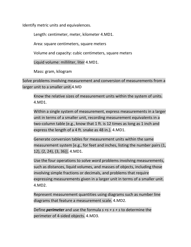Identify metric units and equivalences.

Length: centimeter, meter, kilometer 4.MD1.

Area: square centimeters, square meters

Volume and capacity: cubic centimeters, square meters

Liquid volume: milliliter, liter 4.MD1.

Mass: gram, kilogram

Solve problems involving measurement and conversion of measurements from a larger unit to a smaller unit.4.MD

Know the relative sizes of measurement units within the system of units. 4.MD1.

Within a single system of measurement, express measurements in a larger unit in terms of a smaller unit, recording measurement equivalents in a two-column table (e.g., know that 1 ft. is 12 times as long as 1 inch and express the length of a 4 ft. snake as 48 in.). 4.MD1.

Generate conversion tables for measurement units within the same measurement system [e.g., for feet and inches, listing the number pairs (1, 12), (2, 24), (3, 36)]. 4.MD1.

Use the four operations to solve word problems involving measurements, such as distances, liquid volumes, and masses of objects, including those involving simple fractions or decimals, and problems that require expressing measurements given in a larger unit in terms of a smaller unit. 4.MD2.

Represent measurement quantities using diagrams such as number line diagrams that feature a measurement scale. 4.MD2.

Define *perimeter* and use the formula *s +s + s + s* to determine the perimeter of 4-sided objects. 4.MD3.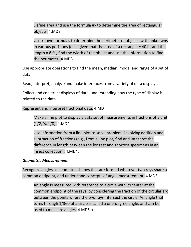Define area and use the formula *lw* to determine the area of rectangular objects. 4.MD3.

Use known formulas to determine the perimeter of objects, with unknowns in various positions (e.g., given that the area of a rectangle = 40 ft. and the length = 8 ft., find the width of the object and use the information to find the perimeter).4.MD3.

Use appropriate operations to find the mean, median, mode, and range of a set of data.

Read, interpret, analyze and make inferences from a variety of data displays.

Collect and construct displays of data, understanding how the type of display is related to the data.

Represent and interpret fractional data. 4.MD

Make a line plot to display a data set of measurements in fractions of a unit (1/2, ¼, 1/8). 4.MD4.

Use information from a line plot to solve problems involving addition and subtraction of fractions (e.g., from a line plot, find and interpret the difference in length between the longest and shortest specimens in an insect collection). 4.MD4.

# *Geometric Measurement*

Recognize angles as geometric shapes that are formed wherever two rays share a common endpoint, and understand concepts of angle measurement: 4.MD5.

An angle is measured with reference to a circle with its center at the common endpoint of the rays, by considering the fraction of the circular arc between the points where the two rays intersect the circle. An angle that turns through 1/360 of a circle is called a one-degree angle, and can be used to measure angles. 4.MD5.a.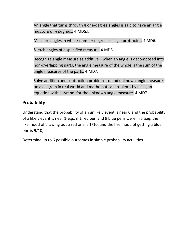An angle that turns through *n* one-degree angles is said to have an angle measure of *n* degrees. 4.MD5.b.

Measure angles in whole-number degrees using a protractor. 4.MD6.

Sketch angles of a specified measure. 4.MD6.

Recognize angle measure as additive—when an angle is decomposed into non-overlapping parts, the angle measure of the whole is the sum of the angle measures of the parts. 4.MD7.

Solve addition and subtraction problems to find unknown angle measures on a diagram in real world and mathematical problems by using an equation with a symbol for the unknown angle measure. 4.MD7.

# **Probability**

Understand that the probability of an unlikely event is near 0 and the probability of a likely event is near 1(e.g., if 1 red pen and 9 blue pens were in a bag, the likelihood of drawing out a red one is 1/10, and the likelihood of getting a blue one is 9/10).

Determine up to 6 possible outcomes in simple probability activities.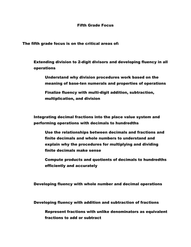#### Fifth Grade Focus

The fifth grade focus is on the critical areas of:

Extending division to 2-digit divisors and developing fluency in all operations

Understand why division procedures work based on the meaning of base-ten numerals and properties of operations

Finalize fluency with multi-digit addition, subtraction, multiplication, and division

Integrating decimal fractions into the place value system and performing operations with decimals to hundredths

Use the relationships between decimals and fractions and finite decimals and whole numbers to understand and explain why the procedures for multiplying and dividing finite decimals make sense

Compute products and quotients of decimals to hundredths efficiently and accurately

Developing fluency with whole number and decimal operations

Developing fluency with addition and subtraction of fractions

Represent fractions with unlike denominators as equivalent fractions to add or subtract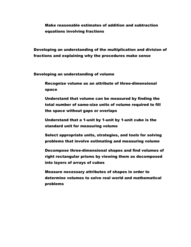Make reasonable estimates of addition and subtraction equations involving fractions

Developing an understanding of the multiplication and division of fractions and explaining why the procedures make sense

Developing an understanding of volume

Recognize volume as an attribute of three-dimensional space

Understand that volume can be measured by finding the total number of same-size units of volume required to fill the space without gaps or overlaps

Understand that a 1-unit by 1-unit by 1-unit cube is the standard unit for measuring volume

Select appropriate units, strategies, and tools for solving problems that involve estimating and measuring volume

Decompose three-dimensional shapes and find volumes of right rectangular prisms by viewing them as decomposed into layers of arrays of cubes

Measure necessary attributes of shapes in order to determine volumes to solve real world and mathematical problems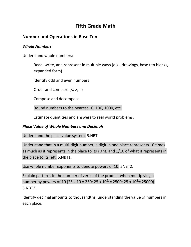# **Fifth Grade Math**

# **Number and Operations in Base Ten**

#### *Whole Numbers*

Understand whole numbers:

Read, write, and represent in multiple ways (e.g., drawings, base ten blocks, expanded form)

Identify odd and even numbers

Order and compare  $(<, >, =)$ 

Compose and decompose

Round numbers to the nearest 10, 100, 1000, etc.

Estimate quantities and answers to real world problems.

#### *Place Value of Whole Numbers and Decimals*

Understand the place value system. 5.NBT

Understand that in a multi-digit number, a digit in one place represents 10 times as much as it represents in the place to its right, and 1/10 of what it represents in the place to its left. 5.NBT1.

Use whole number exponents to denote powers of 10. 5NBT2.

Explain patterns in the number of zeros of the product when multiplying a number by powers of 10 (25 x 1<u>0 = 250</u>; 25 x 10<sup>2</sup> = 25<u>00</u>; 25 x 10<sup>3</sup> = 25<u>000</u>). 5.NBT2.

Identify decimal amounts to thousandths, understanding the value of numbers in each place.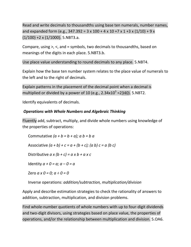Read and write decimals to thousandths using base ten numerals, number names, and expanded form (e.g., 347.392 = 3 x 100 + 4 x 10 + 7 x 1 + 3 x (1/10) + 9 x  $(1/100) +2 \times (1/1000)$ . 5.NBT3.a.

Compare, using >, <, and = symbols, two decimals to thousandths, based on meanings of the digits in each place. 5.NBT3.b.

Use place value understanding to round decimals to any place. 5.NBT4.

Explain how the base ten number system relates to the place value of numerals to the left and to the right of decimals.

Explain patterns in the placement of the decimal point when a decimal is multiplied or divided by a power of 10 (e.g.,  $2.34 \times 10^3$  =2 $\frac{340}{3}$ ). 5.NBT2.

Identify equivalents of decimals.

# *Operations with Whole Numbers and Algebraic Thinking*

Fluently add, subtract, multiply, and divide whole numbers using knowledge of the properties of operations:

Commutative *(a + b = b + a); a b = b a* Associative  $(a + b) + c = a + (b + c)$ ;  $(a b) c = a (b c)$ Distributive *a x (b + c) = a x b + a x c* Identity  $a + 0 = a$ ;  $a - 0 = a$ Zero *a x 0 = 0; a ÷ 0 = 0*

Inverse operations: *addition/subtraction, multiplication/division*

Apply and describe estimation strategies to check the rationality of answers to addition, subtraction, multiplication, and division problems.

Find whole-number quotients of whole numbers with up to four-digit dividends and two-digit divisors, using strategies based on place value, the properties of operations, and/or the relationship between multiplication and division. 5.OA6.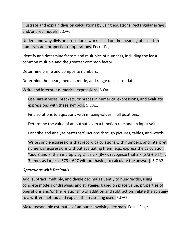Illustrate and explain division calculations by using equations, rectangular arrays, and/or area models. 5.OA6.

Understand why division procedures work based on the meaning of base-ten numerals and properties of operations. Focus Page

Identify and determine factors and multiples of numbers, including the least common multiple and the greatest common factor.

Determine prime and composite numbers.

Determine the mean, median, mode, and range of a set of data.

Write and interpret numerical expressions. 5.OA

Use parentheses, brackets, or braces in numerical expressions, and evaluate expressions with these symbols. 5.OA1.

Find solutions to equations with missing values in all positions.

Determine the value of an output given a function rule and an input value.

Describe and analyze patterns/functions through pictures, tables, and words.

Write simple expressions that record calculations with numbers, and interpret numerical expressions without evaluating them [e.g., express the calculation "add 8 and 7, then multiply by 2" as 2 x (8+7); recognize that 3 x (573 + 647) is 3 times as large as 573 + 647 without having to calculate the answer]. 5.OA2.

# *Operations with Decimals*

Add, subtract, multiply, and divide decimals fluently to hundredths, using concrete models or drawings and strategies based on place value, properties of operations and/or the relationship of addition and subtraction; relate the strategy to a written method and explain the reasoning used. 5.OA7.

Make reasonable estimates of amounts involving decimals. Focus Page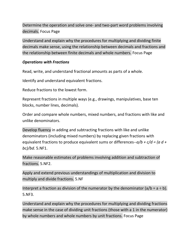Determine the operation and solve one- and two-part word problems involving decimals. Focus Page

Understand and explain why the procedures for multiplying and dividing finite decimals make sense, using the relationship between decimals and fractions and the relationship between finite decimals and whole numbers. Focus Page

## *Operations with Fractions*

Read, write, and understand fractional amounts as parts of a whole.

Identify and understand equivalent fractions.

Reduce fractions to the lowest form.

Represent fractions in multiple ways (e.g., drawings, manipulatives, base ten blocks, number lines, decimals).

Order and compare whole numbers, mixed numbers, and fractions with like and unlike denominators.

Develop fluency in adding and subtracting fractions with like and unlike denominators (including mixed numbers) by replacing given fractions with equivalent fractions to produce equivalent sums or differences--*a/b + c/d = (a d + bc)/bd.* 5.NF1.

Make reasonable estimates of problems involving addition and subtraction of fractions. 5.NF2.

Apply and extend previous understandings of multiplication and division to multiply and divide fractions. 5.NF

Interpret a fraction as division of the numerator by the denominator  $(a/b = a \div b)$ . 5.NF3.

Understand and explain why the procedures for multiplying and dividing fractions make sense in the case of dividing unit fractions (those with a 1 in the numerator) by whole numbers and whole numbers by unit fractions. Focus Page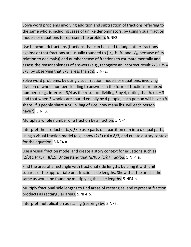Solve word problems involving addition and subtraction of fractions referring to the same whole, including cases of unlike denominators, by using visual fraction models or equations to represent the problem. 5.NF2.

Use benchmark fractions [fractions that can be used to judge other fractions against or that fractions are usually rounded to ( $\frac{1}{4}$ ,  $\frac{1}{2}$ ,  $\frac{3}{4}$ , and  $\frac{1}{10}$  because of its relation to decimals)] and number sense of fractions to estimate mentally and assess the reasonableness of answers (e.g., recognize an incorrect result  $2/6 + \frac{1}{2}$  = 3/8, by observing that  $3/8$  is less than  $\frac{1}{2}$ . 5.NF2.

Solve word problems, by using visual fraction models or equations, involving division of whole numbers leading to answers in the form of fractions or mixed numbers (e.g., interpret 3/4 as the result of dividing 3 by 4, noting that  $\frac{3}{4} \times 4 = 3$ and that when 3 wholes are shared equally by 4 people, each person will have a  $\frac{3}{4}$ share; if 9 people share a 50 lb. bag of rice, how many lbs. will each person have?). 5.NF3.

Multiply a whole number or a fraction by a fraction. 5.NF4.

Interpret the product of (*a/b) x q* as *a* parts of a partition of *q* into *b* equal parts, using a visual fraction model (e.g., show  $(2/3)$  x 4 = 8/3, and create a story context for the equation. 5.NF4.a.

Use a visual fraction model and create a story context for equations such as (2/3) x (4/5) = 8/15. Understand that *(a/b) x (c/d) = ac/bd*. 5.NF4.a.

Find the area of a rectangle with fractional side lengths by tiling it with unit squares of the appropriate unit fraction side lengths. Show that the area is the same as would be found by multiplying the side lengths. 5.NF4.b.

Multiply fractional side lengths to find areas of rectangles, and represent fraction products as rectangular areas. 5.NF4.b.

Interpret multiplication as scaling (resizing) by: 5.NF5.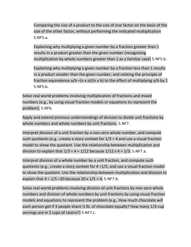Comparing the size of a product to the size of one factor on the basis of the size of the other factor, without performing the indicated multiplication 5.NF5.a.

Explaining why multiplying a given number by a fraction greater than 1 results in a product greater than the given number (recognizing multiplication by whole numbers greater than 1 as a familiar case) 5.NF5.b.

Explaining why multiplying a given number by a fraction less than 1 results in a product smaller than the given number; and relating the principle of fraction equivalence  $a/b = (n \times a)/(n \times b)$  to the effect of multiplying  $a/b$  by 1 5.NF5.b.

Solve real world problems involving multiplication of fractions and mixed numbers (e.g., by using visual fraction models or equations to represent the problem). 5.NF6.

Apply and extend previous understandings of division to divide unit fractions by whole numbers and whole numbers by unit fractions. 5.NF7.

Interpret division of a unit fraction by a non-zero whole number, and compute such quotients (e.g., create a story context for  $1/3 \div 4$  and use a visual fraction model to show the quotient. Use the relationship between multiplication and division to explain that  $1/3 \div 4 = 1/12$  because  $1/12 \times 4 = 1/3$ . 5.NF7.a.

Interpret division of a whole number by a unit fraction, and compute such quotients (e.g., create a story context for  $4 \div 1/5$ , and use a visual fraction model to show the quotient. Use the relationship between multiplication and division to explain that  $4 \div 1/5 = 20$  because  $20 \times 1/5 = 4$ . 5.NF7.b.

Solve real world problems involving division of unit fractions by non-zero whole numbers and division of whole numbers by unit fractions by using visual fraction models and equations to represent the problem (e.g., How much chocolate will each person get if 3 people share ½ lb. of chocolate equally? How many 1/3-cup servings are in 2 cups of raisins?) 5.NF7.c.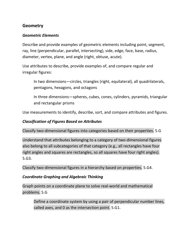# **Geometry**

## *Geometric Elements*

Describe and provide examples of geometric elements including point, segment, ray, line (perpendicular, parallel, intersecting), side, edge, face, base, radius, diameter, vertex, plane, and angle (right, obtuse, acute).

Use attributes to describe, provide examples of, and compare regular and irregular figures:

In two dimensions—circles, triangles (right, equilateral), all quadrilaterals, pentagons, hexagons, and octagons

In three dimensions—spheres, cubes, cones, cylinders, pyramids, triangular and rectangular prisms

Use measurements to identify, describe, sort, and compare attributes and figures.

## *Classification of Figures Based on Attributes*

Classify two-dimensional figures into categories based on their properties. 5.G

Understand that attributes belonging to a category of two-dimensional figures also belong to all subcategories of that category (e.g., all rectangles have four right angles and squares are rectangles, so all squares have four right angles). 5.G3.

Classify two-dimensional figures in a hierarchy based on properties. 5.G4.

# *Coordinate Graphing and Algebraic Thinking*

Graph points on a coordinate plane to solve real-world and mathematical problems. 5.G

Define a coordinate system by using a pair of perpendicular number lines, called axes, and 0 as the intersection point. 5.G1.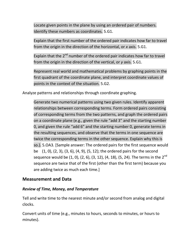Locate given points in the plane by using an ordered pair of numbers. Identify these numbers as coordinates. 5.G1.

Explain that the first number of the ordered pair indicates how far to travel from the origin in the direction of the horizontal, or *x* axis. 5.G1.

Explain that the  $2<sup>nd</sup>$  number of the ordered pair indicates how far to travel from the origin in the direction of the vertical, or *y* axis. 5.G1.

Represent real world and mathematical problems by graphing points in the first quadrant of the coordinate plane, and interpret coordinate values of points in the context of the situation. 5.G2.

Analyze patterns and relationships through coordinate graphing.

Generate two numerical patterns using two given rules. Identify apparent relationships between corresponding terms. Form ordered pairs consisting of corresponding terms from the two patterns, and graph the ordered pairs on a coordinate plane (e.g., given the rule "add 3" and the starting number 0, and given the rule "add 6" and the starting number 0, generate terms in the resulting sequences, and observe that the terms in one sequence are twice the corresponding terms in the other sequence. Explain why this is so.). 5.OA3. [Sample answer: The ordered pairs for the first sequence would be (1, 0), (2, 3), (3, 6), (4, 9), (5, 12); the ordered pairs for the second sequence would be  $(1, 0)$ ,  $(2, 6)$ ,  $(3, 12)$ ,  $(4, 18)$ ,  $(5, 24)$ . The terms in the  $2<sup>nd</sup>$ sequence are twice that of the first (other than the first term) because you are adding twice as much each time.]

# **Measurement and Data**

# *Review of Time, Money, and Temperature*

Tell and write time to the nearest minute and/or second from analog and digital clocks.

Convert units of time (e.g., minutes to hours, seconds to minutes, or hours to minutes).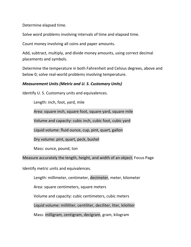Determine elapsed time.

Solve word problems involving intervals of time and elapsed time.

Count money involving all coins and paper amounts.

Add, subtract, multiply, and divide money amounts, using correct decimal placements and symbols.

Determine the temperature in both Fahrenheit and Celsius degrees, above and below 0; solve real-world problems involving temperature.

## *Measurement Units (Metric and U. S. Customary Units)*

Identify U. S. Customary units and equivalences.

Length: inch, foot, yard, mile

Area: square inch, square foot, square yard, square mile

Volume and capacity: cubic inch, cubic foot, cubic yard

Liquid volume: fluid ounce, cup, pint, quart, gallon

Dry volume: pint, quart, peck, bushel

Mass: ounce, pound, ton

Measure accurately the length, height, and width of an object. Focus Page

Identify metric units and equivalences.

Length: millimeter, centimeter, decimeter, meter, kilometer

Area: square centimeters, square meters

Volume and capacity: cubic centimeters, cubic meters

Liquid volume: milliliter, centiliter, deciliter, liter, kiloliter

Mass: milligram, centigram, decigram, gram, kilogram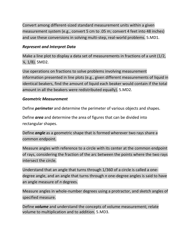Convert among different-sized standard measurement units within a given measurement system (e.g., convert 5 cm to .05 m; convert 4 feet into 48 inches) and use these conversions in solving multi-step, real-world problems. 5.MD1.

# *Represent and Interpret Data*

Make a line plot to display a data set of measurements in fractions of a unit (1/2, ¼, 1/8). 5MD2.

Use operations on fractions to solve problems involving measurement information presented in line plots (e.g., given different measurements of liquid in identical beakers, find the amount of liquid each beaker would contain if the total amount in all the beakers were redistributed equally). 5.MD2.

# *Geometric Measurement*

Define *perimeter* and determine the perimeter of various objects and shapes.

Define *area* and determine the area of figures that can be divided into rectangular shapes.

Define *angle* as a geometric shape that is formed wherever two rays share a common endpoint.

Measure angles with reference to a circle with its center at the common endpoint of rays, considering the fraction of the arc between the points where the two rays intersect the circle.

Understand that an angle that turns through 1/360 of a circle is called a onedegree angle, and an angle that turns through *n* one-degree angles is said to have an angle measure of *n* degrees.

Measure angles in whole-number degrees using a protractor, and sketch angles of specified measure.

Define *volume* and understand the concepts of volume measurement; relate volume to multiplication and to addition. 5.MD3.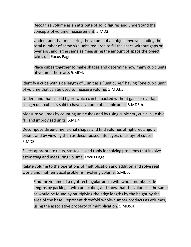Recognize volume as an attribute of solid figures and understand the concepts of volume measurement. 5.MD3.

Understand that measuring the volume of an object involves finding the total number of same size units required to fill the space without gaps or overlaps, and is the same as measuring the amount of space the object takes up. Focus Page

Place cubes together to make shapes and determine how many cubic units of volume there are. 5.MD4.

Identify a cube with side length of 1 unit as a "unit cube," having "one cubic unit" of volume that can be used to measure volume. 5.MD3.a.

Understand that a solid figure which can be packed without gaps or overlaps using *n* unit cubes is said to have a volume of *n* cubic units. 5.MD3.b.

Measure volumes by counting unit cubes and by using cubic cm., cubic in., cubic ft., and improvised units. 5.MD4.

Decompose three-dimensional shapes and find volumes of right rectangular prisms and by viewing then as decomposed into layers of arrays of cubes. 5.MD5.a.

Select appropriate units, strategies and tools for solving problems that involve estimating and measuring volume. Focus Page

Relate volume to the operations of multiplication and addition and solve real world and mathematical problems involving volume. 5.MD5.

Find the volume of a right rectangular prism with whole-number side lengths by packing it with unit cubes, and show that the volume is the same as would be found by multiplying the edge lengths by the height by the area of the base. Represent threefold whole-number products as volumes, using the associative property of multiplication. 5.MD5.a.